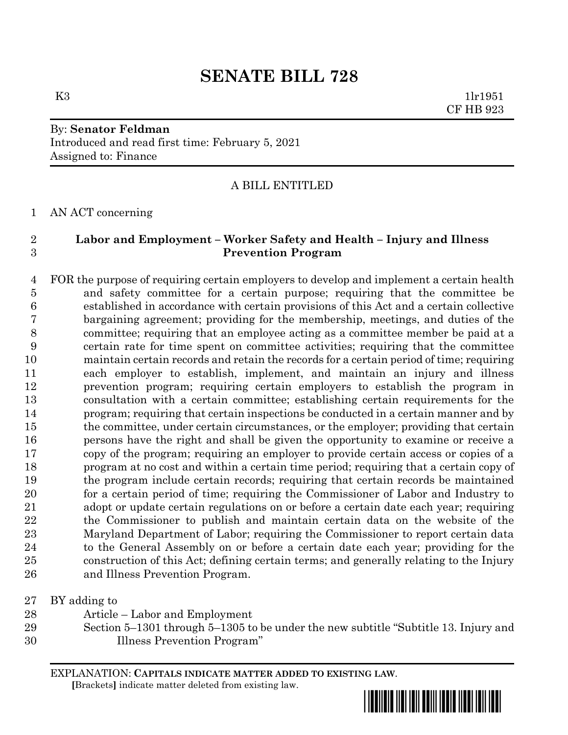# **SENATE BILL 728**

# By: **Senator Feldman** Introduced and read first time: February 5, 2021 Assigned to: Finance

## A BILL ENTITLED

### AN ACT concerning

# **Labor and Employment – Worker Safety and Health – Injury and Illness Prevention Program**

 FOR the purpose of requiring certain employers to develop and implement a certain health and safety committee for a certain purpose; requiring that the committee be established in accordance with certain provisions of this Act and a certain collective bargaining agreement; providing for the membership, meetings, and duties of the committee; requiring that an employee acting as a committee member be paid at a certain rate for time spent on committee activities; requiring that the committee maintain certain records and retain the records for a certain period of time; requiring each employer to establish, implement, and maintain an injury and illness prevention program; requiring certain employers to establish the program in consultation with a certain committee; establishing certain requirements for the program; requiring that certain inspections be conducted in a certain manner and by the committee, under certain circumstances, or the employer; providing that certain persons have the right and shall be given the opportunity to examine or receive a copy of the program; requiring an employer to provide certain access or copies of a program at no cost and within a certain time period; requiring that a certain copy of the program include certain records; requiring that certain records be maintained for a certain period of time; requiring the Commissioner of Labor and Industry to adopt or update certain regulations on or before a certain date each year; requiring the Commissioner to publish and maintain certain data on the website of the Maryland Department of Labor; requiring the Commissioner to report certain data to the General Assembly on or before a certain date each year; providing for the construction of this Act; defining certain terms; and generally relating to the Injury and Illness Prevention Program.

BY adding to

- Article Labor and Employment
- Section 5–1301 through 5–1305 to be under the new subtitle "Subtitle 13. Injury and Illness Prevention Program"

EXPLANATION: **CAPITALS INDICATE MATTER ADDED TO EXISTING LAW**.  **[**Brackets**]** indicate matter deleted from existing law.



 $K3$  1lr1951 CF HB 923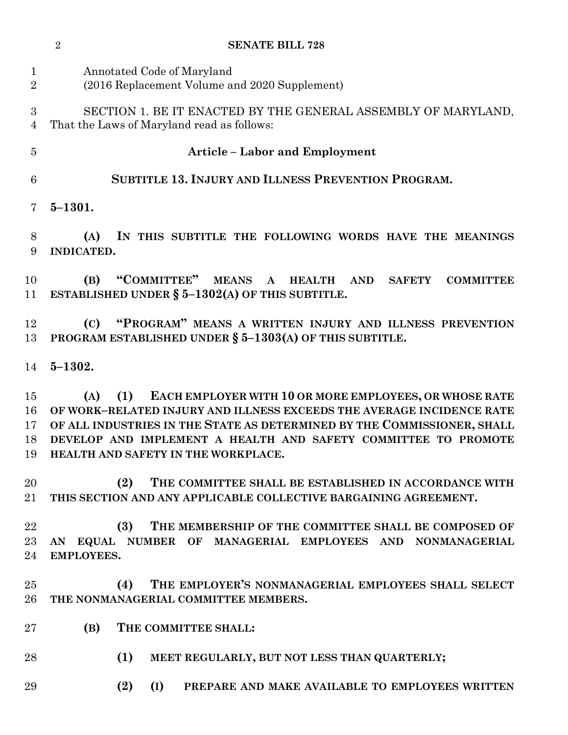|                               | $\overline{2}$<br><b>SENATE BILL 728</b>                                                                                                                                                                                                                                                                                          |
|-------------------------------|-----------------------------------------------------------------------------------------------------------------------------------------------------------------------------------------------------------------------------------------------------------------------------------------------------------------------------------|
| $\mathbf 1$<br>$\overline{2}$ | Annotated Code of Maryland<br>(2016 Replacement Volume and 2020 Supplement)                                                                                                                                                                                                                                                       |
| 3<br>$\overline{4}$           | SECTION 1. BE IT ENACTED BY THE GENERAL ASSEMBLY OF MARYLAND,<br>That the Laws of Maryland read as follows:                                                                                                                                                                                                                       |
| 5                             | <b>Article - Labor and Employment</b>                                                                                                                                                                                                                                                                                             |
| 6                             | <b>SUBTITLE 13. INJURY AND ILLNESS PREVENTION PROGRAM.</b>                                                                                                                                                                                                                                                                        |
| 7                             | $5 - 1301.$                                                                                                                                                                                                                                                                                                                       |
| 8<br>9                        | IN THIS SUBTITLE THE FOLLOWING WORDS HAVE THE MEANINGS<br>(A)<br><b>INDICATED.</b>                                                                                                                                                                                                                                                |
| 10<br>11                      | "COMMITTEE" MEANS A HEALTH AND<br>(B)<br><b>SAFETY</b><br><b>COMMITTEE</b><br>ESTABLISHED UNDER $\S$ 5-1302(A) OF THIS SUBTITLE.                                                                                                                                                                                                  |
| 12<br>13                      | "PROGRAM" MEANS A WRITTEN INJURY AND ILLNESS PREVENTION<br>(C)<br>PROGRAM ESTABLISHED UNDER § 5-1303(A) OF THIS SUBTITLE.                                                                                                                                                                                                         |
| 14                            | $5 - 1302.$                                                                                                                                                                                                                                                                                                                       |
| 15<br>16<br>17<br>18<br>19    | EACH EMPLOYER WITH 10 OR MORE EMPLOYEES, OR WHOSE RATE<br>(1)<br>(A)<br>OF WORK-RELATED INJURY AND ILLNESS EXCEEDS THE AVERAGE INCIDENCE RATE<br>OF ALL INDUSTRIES IN THE STATE AS DETERMINED BY THE COMMISSIONER, SHALL<br>DEVELOP AND IMPLEMENT A HEALTH AND SAFETY COMMITTEE TO PROMOTE<br>HEALTH AND SAFETY IN THE WORKPLACE. |
| 20<br>$21\,$                  | THE COMMITTEE SHALL BE ESTABLISHED IN ACCORDANCE WITH<br>(2)<br>THIS SECTION AND ANY APPLICABLE COLLECTIVE BARGAINING AGREEMENT.                                                                                                                                                                                                  |
| 22<br>$23\,$<br>24            | THE MEMBERSHIP OF THE COMMITTEE SHALL BE COMPOSED OF<br>(3)<br>AN EQUAL NUMBER OF MANAGERIAL EMPLOYEES AND NONMANAGERIAL<br><b>EMPLOYEES.</b>                                                                                                                                                                                     |
| $25\,$<br>26                  | THE EMPLOYER'S NONMANAGERIAL EMPLOYEES SHALL SELECT<br>(4)<br>THE NONMANAGERIAL COMMITTEE MEMBERS.                                                                                                                                                                                                                                |
| $27\,$                        | (B)<br>THE COMMITTEE SHALL:                                                                                                                                                                                                                                                                                                       |
| 28                            | (1)<br>MEET REGULARLY, BUT NOT LESS THAN QUARTERLY;                                                                                                                                                                                                                                                                               |
| 29                            | (2)<br>(I)<br>PREPARE AND MAKE AVAILABLE TO EMPLOYEES WRITTEN                                                                                                                                                                                                                                                                     |
|                               |                                                                                                                                                                                                                                                                                                                                   |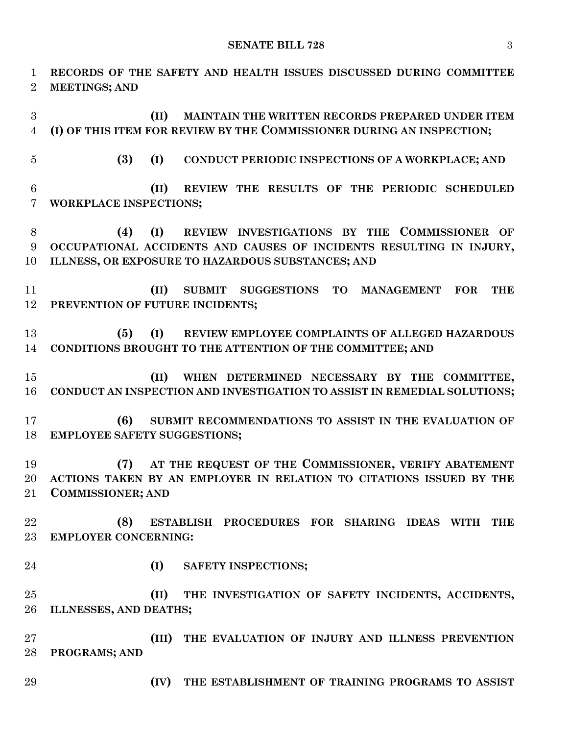**RECORDS OF THE SAFETY AND HEALTH ISSUES DISCUSSED DURING COMMITTEE MEETINGS; AND (II) MAINTAIN THE WRITTEN RECORDS PREPARED UNDER ITEM (I) OF THIS ITEM FOR REVIEW BY THE COMMISSIONER DURING AN INSPECTION; (3) (I) CONDUCT PERIODIC INSPECTIONS OF A WORKPLACE; AND (II) REVIEW THE RESULTS OF THE PERIODIC SCHEDULED WORKPLACE INSPECTIONS; (4) (I) REVIEW INVESTIGATIONS BY THE COMMISSIONER OF OCCUPATIONAL ACCIDENTS AND CAUSES OF INCIDENTS RESULTING IN INJURY, ILLNESS, OR EXPOSURE TO HAZARDOUS SUBSTANCES; AND (II) SUBMIT SUGGESTIONS TO MANAGEMENT FOR THE PREVENTION OF FUTURE INCIDENTS; (5) (I) REVIEW EMPLOYEE COMPLAINTS OF ALLEGED HAZARDOUS CONDITIONS BROUGHT TO THE ATTENTION OF THE COMMITTEE; AND (II) WHEN DETERMINED NECESSARY BY THE COMMITTEE, CONDUCT AN INSPECTION AND INVESTIGATION TO ASSIST IN REMEDIAL SOLUTIONS; (6) SUBMIT RECOMMENDATIONS TO ASSIST IN THE EVALUATION OF EMPLOYEE SAFETY SUGGESTIONS; (7) AT THE REQUEST OF THE COMMISSIONER, VERIFY ABATEMENT ACTIONS TAKEN BY AN EMPLOYER IN RELATION TO CITATIONS ISSUED BY THE COMMISSIONER; AND (8) ESTABLISH PROCEDURES FOR SHARING IDEAS WITH THE EMPLOYER CONCERNING: (I) SAFETY INSPECTIONS; (II) THE INVESTIGATION OF SAFETY INCIDENTS, ACCIDENTS, ILLNESSES, AND DEATHS; (III) THE EVALUATION OF INJURY AND ILLNESS PREVENTION PROGRAMS; AND (IV) THE ESTABLISHMENT OF TRAINING PROGRAMS TO ASSIST**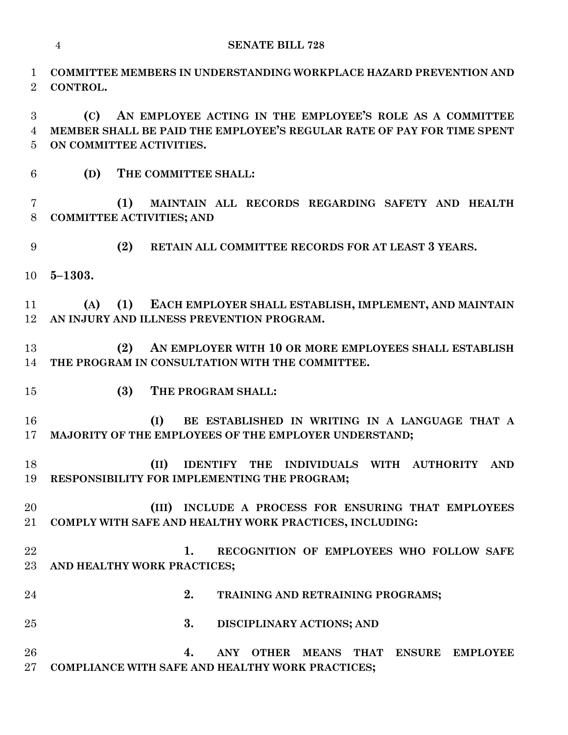**COMMITTEE MEMBERS IN UNDERSTANDING WORKPLACE HAZARD PREVENTION AND** 

 **(C) AN EMPLOYEE ACTING IN THE EMPLOYEE'S ROLE AS A COMMITTEE MEMBER SHALL BE PAID THE EMPLOYEE'S REGULAR RATE OF PAY FOR TIME SPENT ON COMMITTEE ACTIVITIES. (D) THE COMMITTEE SHALL: (1) MAINTAIN ALL RECORDS REGARDING SAFETY AND HEALTH COMMITTEE ACTIVITIES; AND (2) RETAIN ALL COMMITTEE RECORDS FOR AT LEAST 3 YEARS. 5–1303. (A) (1) EACH EMPLOYER SHALL ESTABLISH, IMPLEMENT, AND MAINTAIN AN INJURY AND ILLNESS PREVENTION PROGRAM. (2) AN EMPLOYER WITH 10 OR MORE EMPLOYEES SHALL ESTABLISH THE PROGRAM IN CONSULTATION WITH THE COMMITTEE. (3) THE PROGRAM SHALL: (I) BE ESTABLISHED IN WRITING IN A LANGUAGE THAT A MAJORITY OF THE EMPLOYEES OF THE EMPLOYER UNDERSTAND; (II) IDENTIFY THE INDIVIDUALS WITH AUTHORITY AND RESPONSIBILITY FOR IMPLEMENTING THE PROGRAM; (III) INCLUDE A PROCESS FOR ENSURING THAT EMPLOYEES COMPLY WITH SAFE AND HEALTHY WORK PRACTICES, INCLUDING: 1. RECOGNITION OF EMPLOYEES WHO FOLLOW SAFE AND HEALTHY WORK PRACTICES; 2. TRAINING AND RETRAINING PROGRAMS; 3. DISCIPLINARY ACTIONS; AND 4. ANY OTHER MEANS THAT ENSURE EMPLOYEE COMPLIANCE WITH SAFE AND HEALTHY WORK PRACTICES;**

**CONTROL.**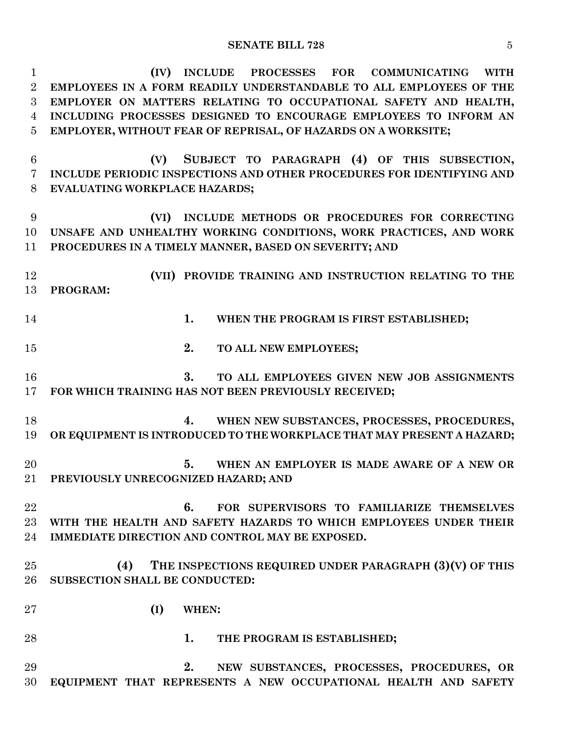### **SENATE BILL 728** 5

 **(IV) INCLUDE PROCESSES FOR COMMUNICATING WITH EMPLOYEES IN A FORM READILY UNDERSTANDABLE TO ALL EMPLOYEES OF THE EMPLOYER ON MATTERS RELATING TO OCCUPATIONAL SAFETY AND HEALTH, INCLUDING PROCESSES DESIGNED TO ENCOURAGE EMPLOYEES TO INFORM AN EMPLOYER, WITHOUT FEAR OF REPRISAL, OF HAZARDS ON A WORKSITE; (V) SUBJECT TO PARAGRAPH (4) OF THIS SUBSECTION, INCLUDE PERIODIC INSPECTIONS AND OTHER PROCEDURES FOR IDENTIFYING AND EVALUATING WORKPLACE HAZARDS; (VI) INCLUDE METHODS OR PROCEDURES FOR CORRECTING UNSAFE AND UNHEALTHY WORKING CONDITIONS, WORK PRACTICES, AND WORK PROCEDURES IN A TIMELY MANNER, BASED ON SEVERITY; AND (VII) PROVIDE TRAINING AND INSTRUCTION RELATING TO THE PROGRAM: 1. WHEN THE PROGRAM IS FIRST ESTABLISHED; 2. TO ALL NEW EMPLOYEES; 3. TO ALL EMPLOYEES GIVEN NEW JOB ASSIGNMENTS FOR WHICH TRAINING HAS NOT BEEN PREVIOUSLY RECEIVED; 4. WHEN NEW SUBSTANCES, PROCESSES, PROCEDURES, OR EQUIPMENT IS INTRODUCED TO THE WORKPLACE THAT MAY PRESENT A HAZARD; 5. WHEN AN EMPLOYER IS MADE AWARE OF A NEW OR PREVIOUSLY UNRECOGNIZED HAZARD; AND 6. FOR SUPERVISORS TO FAMILIARIZE THEMSELVES WITH THE HEALTH AND SAFETY HAZARDS TO WHICH EMPLOYEES UNDER THEIR IMMEDIATE DIRECTION AND CONTROL MAY BE EXPOSED. (4) THE INSPECTIONS REQUIRED UNDER PARAGRAPH (3)(V) OF THIS SUBSECTION SHALL BE CONDUCTED: (I) WHEN: 1. THE PROGRAM IS ESTABLISHED; 2. NEW SUBSTANCES, PROCESSES, PROCEDURES, OR EQUIPMENT THAT REPRESENTS A NEW OCCUPATIONAL HEALTH AND SAFETY**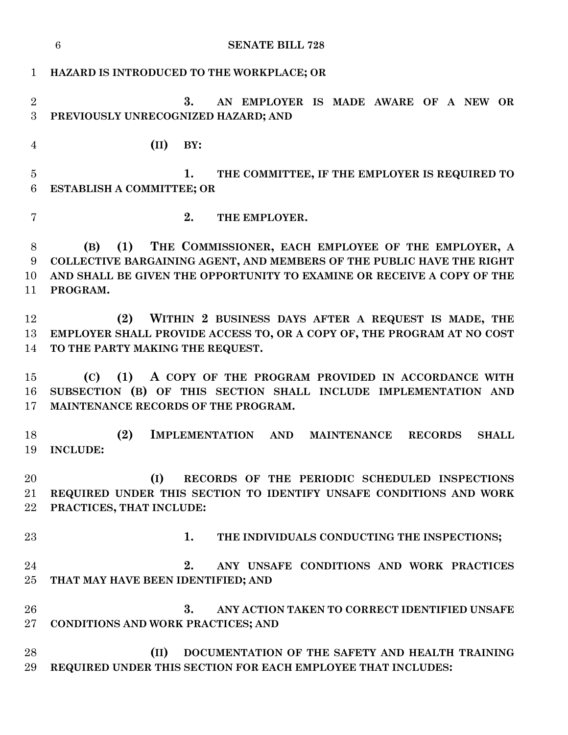|                     | $\boldsymbol{6}$<br><b>SENATE BILL 728</b>                                                                                                                                                                                      |
|---------------------|---------------------------------------------------------------------------------------------------------------------------------------------------------------------------------------------------------------------------------|
| $\mathbf{1}$        | HAZARD IS INTRODUCED TO THE WORKPLACE; OR                                                                                                                                                                                       |
| $\overline{2}$<br>3 | 3.<br>AN EMPLOYER IS MADE AWARE OF A NEW OR<br>PREVIOUSLY UNRECOGNIZED HAZARD; AND                                                                                                                                              |
| $\overline{4}$      | (II)<br>BY:                                                                                                                                                                                                                     |
| $\overline{5}$<br>6 | 1.<br>THE COMMITTEE, IF THE EMPLOYER IS REQUIRED TO<br>ESTABLISH A COMMITTEE; OR                                                                                                                                                |
| 7                   | 2.<br>THE EMPLOYER.                                                                                                                                                                                                             |
| 8<br>9<br>10<br>11  | THE COMMISSIONER, EACH EMPLOYEE OF THE EMPLOYER, A<br>(B)<br>(1)<br>COLLECTIVE BARGAINING AGENT, AND MEMBERS OF THE PUBLIC HAVE THE RIGHT<br>AND SHALL BE GIVEN THE OPPORTUNITY TO EXAMINE OR RECEIVE A COPY OF THE<br>PROGRAM. |
| 12<br>13<br>14      | (2)<br>WITHIN 2 BUSINESS DAYS AFTER A REQUEST IS MADE, THE<br>EMPLOYER SHALL PROVIDE ACCESS TO, OR A COPY OF, THE PROGRAM AT NO COST<br>TO THE PARTY MAKING THE REQUEST.                                                        |
| 15<br>16<br>17      | (1) A COPY OF THE PROGRAM PROVIDED IN ACCORDANCE WITH<br>(C)<br>SUBSECTION (B) OF THIS SECTION SHALL INCLUDE IMPLEMENTATION AND<br>MAINTENANCE RECORDS OF THE PROGRAM.                                                          |
| 18<br>19            | (2)<br>IMPLEMENTATION AND<br><b>MAINTENANCE</b><br><b>RECORDS</b><br><b>SHALL</b><br><b>INCLUDE:</b>                                                                                                                            |
| 20<br>21<br>22      | (I)<br>RECORDS OF THE PERIODIC SCHEDULED INSPECTIONS<br>REQUIRED UNDER THIS SECTION TO IDENTIFY UNSAFE CONDITIONS AND WORK<br>PRACTICES, THAT INCLUDE:                                                                          |
| 23                  | 1.<br>THE INDIVIDUALS CONDUCTING THE INSPECTIONS;                                                                                                                                                                               |
| 24<br>25            | 2.<br>ANY UNSAFE CONDITIONS AND WORK PRACTICES<br>THAT MAY HAVE BEEN IDENTIFIED; AND                                                                                                                                            |
| 26<br>$27\,$        | 3.<br>ANY ACTION TAKEN TO CORRECT IDENTIFIED UNSAFE<br>CONDITIONS AND WORK PRACTICES; AND                                                                                                                                       |
| 28<br>29            | DOCUMENTATION OF THE SAFETY AND HEALTH TRAINING<br>(II)<br>REQUIRED UNDER THIS SECTION FOR EACH EMPLOYEE THAT INCLUDES:                                                                                                         |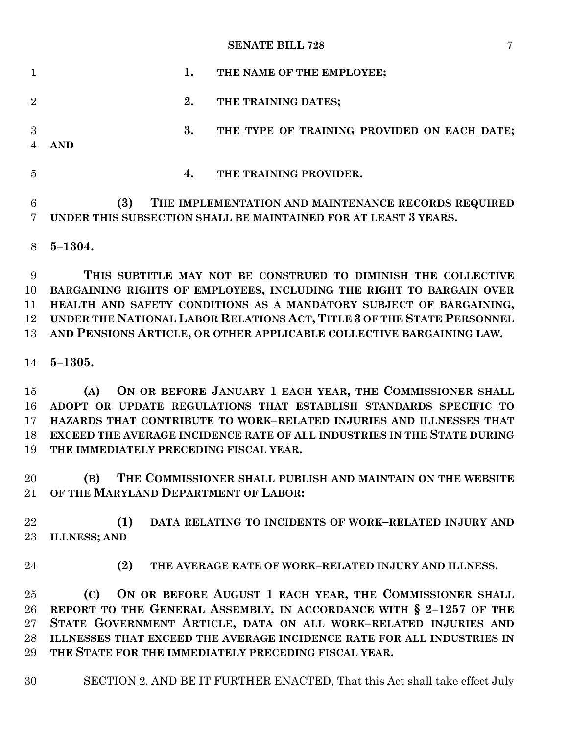### **SENATE BILL 728** 7

|                | 1.<br>THE NAME OF THE EMPLOYEE;                                                                                               |
|----------------|-------------------------------------------------------------------------------------------------------------------------------|
| $\overline{2}$ | 2.<br>THE TRAINING DATES;                                                                                                     |
| 3              | 3.<br>THE TYPE OF TRAINING PROVIDED ON EACH DATE;<br><b>AND</b>                                                               |
| 5              | THE TRAINING PROVIDER.<br>4.                                                                                                  |
| 6              | (3)<br>THE IMPLEMENTATION AND MAINTENANCE RECORDS REQUIRED<br>UNDER THIS SUBSECTION SHALL BE MAINTAINED FOR AT LEAST 3 YEARS. |
| 8              | $5 - 1304.$                                                                                                                   |
| 9              | THIS SUBTITLE MAY NOT BE CONSTRUED TO DIMINISH THE COLLECTIVE                                                                 |

 **BARGAINING RIGHTS OF EMPLOYEES, INCLUDING THE RIGHT TO BARGAIN OVER HEALTH AND SAFETY CONDITIONS AS A MANDATORY SUBJECT OF BARGAINING, UNDER THE NATIONAL LABOR RELATIONS ACT, TITLE 3 OF THE STATE PERSONNEL AND PENSIONS ARTICLE, OR OTHER APPLICABLE COLLECTIVE BARGAINING LAW.**

**5–1305.**

 **(A) ON OR BEFORE JANUARY 1 EACH YEAR, THE COMMISSIONER SHALL ADOPT OR UPDATE REGULATIONS THAT ESTABLISH STANDARDS SPECIFIC TO HAZARDS THAT CONTRIBUTE TO WORK–RELATED INJURIES AND ILLNESSES THAT EXCEED THE AVERAGE INCIDENCE RATE OF ALL INDUSTRIES IN THE STATE DURING THE IMMEDIATELY PRECEDING FISCAL YEAR.**

 **(B) THE COMMISSIONER SHALL PUBLISH AND MAINTAIN ON THE WEBSITE OF THE MARYLAND DEPARTMENT OF LABOR:**

 **(1) DATA RELATING TO INCIDENTS OF WORK–RELATED INJURY AND ILLNESS; AND**

**(2) THE AVERAGE RATE OF WORK–RELATED INJURY AND ILLNESS.**

 **(C) ON OR BEFORE AUGUST 1 EACH YEAR, THE COMMISSIONER SHALL REPORT TO THE GENERAL ASSEMBLY, IN ACCORDANCE WITH § 2–1257 OF THE STATE GOVERNMENT ARTICLE, DATA ON ALL WORK–RELATED INJURIES AND ILLNESSES THAT EXCEED THE AVERAGE INCIDENCE RATE FOR ALL INDUSTRIES IN THE STATE FOR THE IMMEDIATELY PRECEDING FISCAL YEAR.**

SECTION 2. AND BE IT FURTHER ENACTED, That this Act shall take effect July